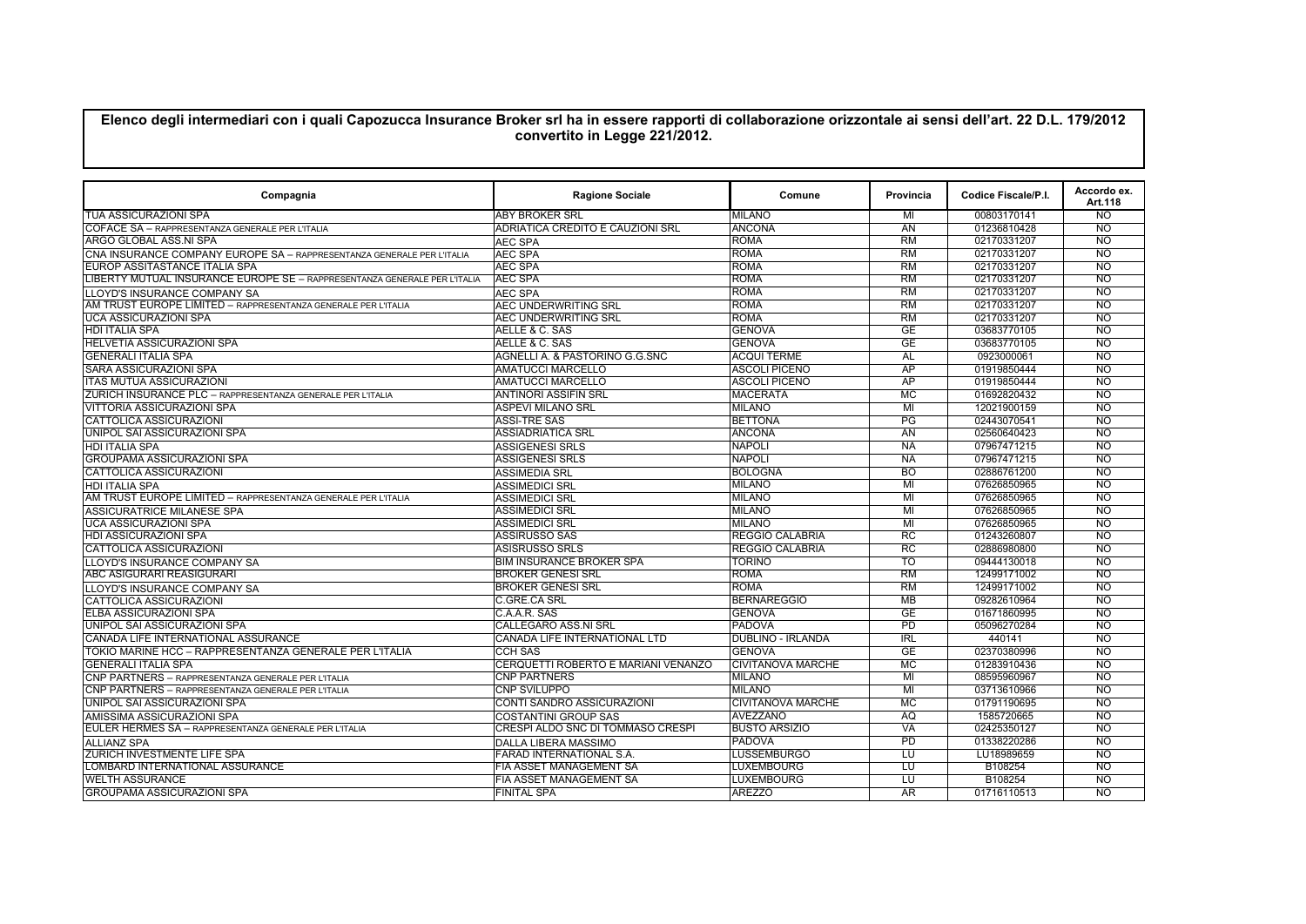## **Elenco degli intermediari con i quali Capozucca Insurance Broker srl ha in essere rapporti di collaborazione orizzontale ai sensi dell'art. 22 D.L. 179/2012 convertito in Legge 221/2012.**

| Compagnia                                                                 | <b>Ragione Sociale</b>              | Comune                   | Provincia                | Codice Fiscale/P.I. | Accordo ex.<br>Art.118 |
|---------------------------------------------------------------------------|-------------------------------------|--------------------------|--------------------------|---------------------|------------------------|
| <b>TUA ASSICURAZIONI SPA</b>                                              | <b>ABY BROKER SRL</b>               | <b>MILANO</b>            | MI                       | 00803170141         | NO <sub>1</sub>        |
| COFACE SA - RAPPRESENTANZA GENERALE PER L'ITALIA                          | ADRIATICA CREDITO E CAUZIONI SRL    | <b>ANCONA</b>            | $\overline{AN}$          | 01236810428         | $\overline{NO}$        |
| ARGO GLOBAL ASS.NI SPA                                                    | <b>AEC SPA</b>                      | <b>ROMA</b>              | RM                       | 02170331207         | $\overline{NO}$        |
| CNA INSURANCE COMPANY EUROPE SA - RAPPRESENTANZA GENERALE PER L'ITALIA    | <b>AEC SPA</b>                      | <b>ROMA</b>              | RM                       | 02170331207         | <b>NO</b>              |
| EUROP ASSITASTANCE ITALIA SPA                                             | <b>AEC SPA</b>                      | ROMA                     | RM                       | 02170331207         | N <sub>O</sub>         |
| LIBERTY MUTUAL INSURANCE EUROPE SE - RAPPRESENTANZA GENERALE PER L'ITALIA | <b>AEC SPA</b>                      | <b>ROMA</b>              | RM                       | 02170331207         | <b>NO</b>              |
| LLOYD'S INSURANCE COMPANY SA                                              | <b>AEC SPA</b>                      | <b>ROMA</b>              | <b>RM</b>                | 02170331207         | <b>NO</b>              |
| AM TRUST EUROPE LIMITED - RAPPRESENTANZA GENERALE PER L'ITALIA            | <b>AEC UNDERWRITING SRL</b>         | <b>ROMA</b>              | $\overline{RM}$          | 02170331207         | $\overline{NO}$        |
| <b>UCA ASSICURAZIONI SPA</b>                                              | <b>AEC UNDERWRITING SRL</b>         | <b>ROMA</b>              | $\overline{RM}$          | 02170331207         | $\overline{NO}$        |
| <b>HDI ITALIA SPA</b>                                                     | AELLE & C. SAS                      | <b>GENOVA</b>            | $\overline{GE}$          | 03683770105         | $\overline{NO}$        |
| <b>HELVETIA ASSICURAZIONI SPA</b>                                         | AELLE & C. SAS                      | <b>GENOVA</b>            | GF                       | 03683770105         | $\overline{NO}$        |
| <b>GENERALI ITALIA SPA</b>                                                | AGNELLI A. & PASTORINO G.G.SNC      | <b>ACQUI TERME</b>       | AL                       | 0923000061          | $\overline{NO}$        |
| <b>SARA ASSICURAZIONI SPA</b>                                             | <b>AMATUCCI MARCELLO</b>            | <b>ASCOLI PICENO</b>     | AP                       | 01919850444         | $\overline{NO}$        |
| <b>ITAS MUTUA ASSICURAZIONI</b>                                           | <b>AMATUCCI MARCELLO</b>            | <b>ASCOLI PICENO</b>     | $\overline{AP}$          | 01919850444         | $\overline{NO}$        |
| ZURICH INSURANCE PLC - RAPPRESENTANZA GENERALE PER L'ITALIA               | <b>ANTINORI ASSIFIN SRL</b>         | <b>MACERATA</b>          | $\overline{\text{MC}}$   | 01692820432         | $\overline{NO}$        |
| <b>VITTORIA ASSICURAZIONI SPA</b>                                         | <b>ASPEVI MILANO SRL</b>            | <b>MILANO</b>            | $\overline{M}$           | 12021900159         | $\overline{NO}$        |
| <b>CATTOLICA ASSICURAZIONI</b>                                            | <b>ASSI-TRE SAS</b>                 | <b>BETTONA</b>           | $\overline{\mathsf{PG}}$ | 02443070541         | $\overline{NO}$        |
| UNIPOL SAI ASSICURAZIONI SPA                                              | <b>ASSIADRIATICA SRL</b>            | <b>ANCONA</b>            | AN                       | 02560640423         | <b>NO</b>              |
| <b>HDI ITALIA SPA</b>                                                     | <b>ASSIGENESI SRLS</b>              | <b>NAPOLI</b>            | <b>NA</b>                | 07967471215         | $\overline{NO}$        |
| <b>GROUPAMA ASSICURAZIONI SPA</b>                                         | <b>ASSIGENESI SRLS</b>              | <b>NAPOLI</b>            | <b>NA</b>                | 07967471215         | <b>NO</b>              |
| <b>CATTOLICA ASSICURAZIONI</b>                                            | <b>ASSIMEDIA SRL</b>                | <b>BOLOGNA</b>           | <b>BO</b>                | 02886761200         | N <sub>O</sub>         |
| <b>HDI ITALIA SPA</b>                                                     | <b>ASSIMEDICI SRL</b>               | <b>MILANO</b>            | MI                       | 07626850965         | <b>NO</b>              |
| AM TRUST EUROPE LIMITED - RAPPRESENTANZA GENERALE PER L'ITALIA            | <b>ASSIMEDICI SRL</b>               | <b>MILANO</b>            | M <sub>l</sub>           | 07626850965         | N <sub>O</sub>         |
| ASSICURATRICE MILANESE SPA                                                | <b>ASSIMEDICI SRL</b>               | MILANO                   | $\overline{M}$           | 07626850965         | $\overline{NO}$        |
| <b>UCA ASSICURAZIONI SPA</b>                                              | <b>ASSIMEDICI SRL</b>               | <b>MILANO</b>            | $\overline{M}$           | 07626850965         | $\overline{NO}$        |
| <b>HDI ASSICURAZIONI SPA</b>                                              | <b>ASSIRUSSO SAS</b>                | <b>REGGIO CALABRIA</b>   | $_{\rm RC}$              | 01243260807         | $\overline{NO}$        |
| CATTOLICA ASSICURAZIONI                                                   | <b>ASISRUSSO SRLS</b>               | <b>REGGIO CALABRIA</b>   | $_{\rm RC}$              | 02886980800         | $\overline{NO}$        |
| LLOYD'S INSURANCE COMPANY SA                                              | <b>BIM INSURANCE BROKER SPA</b>     | <b>TORINO</b>            | TO                       | 09444130018         | $\overline{NO}$        |
| <b>ABC ASIGURARI REASIGURARI</b>                                          | <b>BROKER GENESI SRL</b>            | <b>ROMA</b>              | $\overline{RM}$          | 12499171002         | $\overline{NO}$        |
| LLOYD'S INSURANCE COMPANY SA                                              | <b>BROKER GENESI SRL</b>            | <b>ROMA</b>              | $\overline{RM}$          | 12499171002         | $\overline{NO}$        |
| <b>CATTOLICA ASSICURAZIONI</b>                                            | C.GRE.CA SRL                        | <b>BERNAREGGIO</b>       | $\overline{MB}$          | 09282610964         | $\overline{NO}$        |
| <b>ELBA ASSICURAZIONI SPA</b>                                             | C.A.A.R. SAS                        | <b>GENOVA</b>            | $\overline{GE}$          | 01671860995         | $\overline{NO}$        |
| UNIPOL SAI ASSICURAZIONI SPA                                              | <b>CALLEGARO ASS.NI SRL</b>         | <b>PADOVA</b>            | PD                       | 05096270284         | <b>NO</b>              |
| CANADA LIFE INTERNATIONAL ASSURANCE                                       | CANADA LIFE INTERNATIONAL LTD       | DUBLINO - IRLANDA        | IRL                      | 440141              | $\overline{NO}$        |
| TOKIO MARINE HCC - RAPPRESENTANZA GENERALE PER L'ITALIA                   | <b>CCH SAS</b>                      | <b>GENOVA</b>            | GE                       | 02370380996         | N <sub>O</sub>         |
| <b>GENERALI ITALIA SPA</b>                                                | CERQUETTI ROBERTO E MARIANI VENANZO | <b>CIVITANOVA MARCHE</b> | <b>MC</b>                | 01283910436         | N <sub>O</sub>         |
| CNP PARTNERS - RAPPRESENTANZA GENERALE PER L'ITALIA                       | <b>CNP PARTNERS</b>                 | <b>MILANO</b>            | M <sub>l</sub>           | 08595960967         | N <sub>O</sub>         |
| CNP PARTNERS - RAPPRESENTANZA GENERALE PER L'ITALIA                       | <b>CNP SVILUPPO</b>                 | <b>MILANO</b>            | MI                       | 03713610966         | $\overline{NO}$        |
| <b>UNIPOL SAI ASSICURAZIONI SPA</b>                                       | <b>CONTI SANDRO ASSICURAZIONI</b>   | <b>CIVITANOVA MARCHE</b> | $\overline{\text{MC}}$   | 01791190695         | $\overline{NO}$        |
| AMISSIMA ASSICURAZIONI SPA                                                | <b>COSTANTINI GROUP SAS</b>         | <b>AVEZZANO</b>          | $\overline{AQ}$          | 1585720665          | $\overline{NO}$        |
| EULER HERMES SA - RAPPRESENTANZA GENERALE PER L'ITALIA                    | CRESPI ALDO SNC DI TOMMASO CRESPI   | <b>BUSTO ARSIZIO</b>     | <b>VA</b>                | 02425350127         | $\overline{NO}$        |
| <b>ALLIANZ SPA</b>                                                        | <b>DALLA LIBERA MASSIMO</b>         | <b>PADOVA</b>            | $\overline{PD}$          | 01338220286         | $\overline{NO}$        |
| <b>ZURICH INVESTMENTE LIFE SPA</b>                                        | <b>FARAD INTERNATIONAL S.A.</b>     | <b>LUSSEMBURGO</b>       | τυ                       | LU18989659          | $\overline{NO}$        |
| LOMBARD INTERNATIONAL ASSURANCE                                           | <b>FIA ASSET MANAGEMENT SA</b>      | <b>LUXEMBOURG</b>        | τυ                       | B108254             | $\overline{NO}$        |
| <b>WELTH ASSURANCE</b>                                                    | <b>FIA ASSET MANAGEMENT SA</b>      | <b>LUXEMBOURG</b>        | τυ                       | B108254             | $\overline{NO}$        |
| <b>GROUPAMA ASSICURAZIONI SPA</b>                                         | <b>FINITAL SPA</b>                  | <b>AREZZO</b>            | AR                       | 01716110513         | $\overline{NO}$        |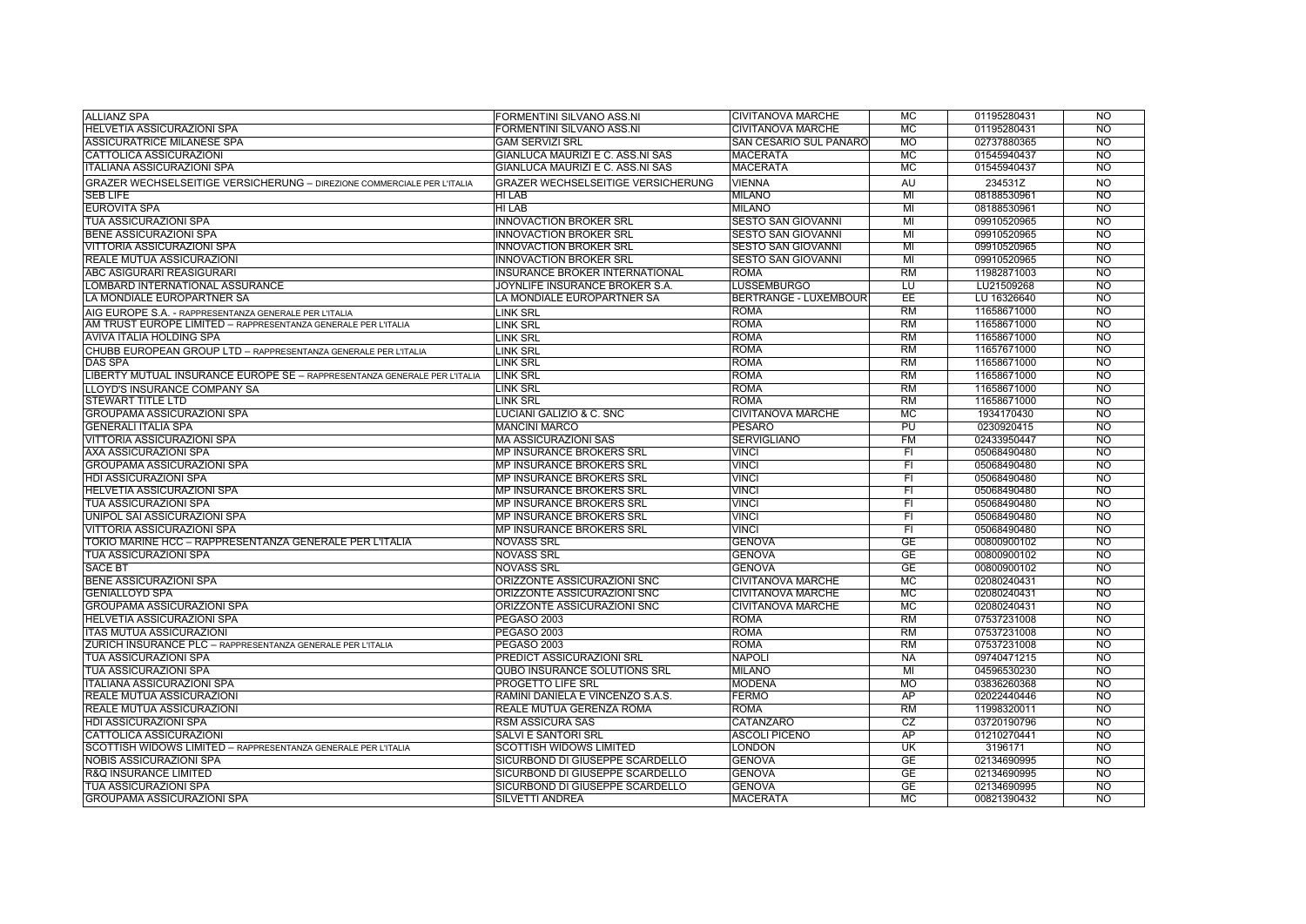| <b>ALLIANZ SPA</b>                                                        | FORMENTINI SILVANO ASS.NI                                  | <b>CIVITANOVA MARCHE</b>      | MC                                  | 01195280431 | <b>NO</b>                   |
|---------------------------------------------------------------------------|------------------------------------------------------------|-------------------------------|-------------------------------------|-------------|-----------------------------|
| HELVETIA ASSICURAZIONI SPA                                                | FORMENTINI SILVANO ASS.NI                                  | <b>CIVITANOVA MARCHE</b>      | <b>MC</b>                           | 01195280431 | N <sub>O</sub>              |
| <b>ASSICURATRICE MILANESE SPA</b>                                         | <b>GAM SERVIZI SRL</b>                                     | <b>SAN CESARIO SUL PANARO</b> | <b>MO</b>                           | 02737880365 | <b>NO</b>                   |
| <b>CATTOLICA ASSICURAZIONI</b>                                            | GIANLUCA MAURIZI E C. ASS.NI SAS                           | <b>MACERATA</b>               | MC                                  | 01545940437 | N <sub>O</sub>              |
| <b>ITALIANA ASSICURAZIONI SPA</b>                                         | GIANLUCA MAURIZI E C. ASS.NI SAS                           | <b>MACERATA</b>               | MC                                  | 01545940437 | $\overline{NO}$             |
| GRAZER WECHSELSEITIGE VERSICHERUNG - DIREZIONE COMMERCIALE PER L'ITALIA   | <b>GRAZER WECHSELSEITIGE VERSICHERUNG</b>                  | <b>VIENNA</b>                 | AU                                  | 234531Z     | <b>NO</b>                   |
| <b>SEB LIFE</b>                                                           | HI LAB                                                     | <b>MILANO</b>                 | $\overline{M}$                      | 08188530961 | $\overline{NO}$             |
| <b>EUROVITA SPA</b>                                                       | <b>HILAB</b>                                               | <b>MILANO</b>                 | $\overline{M}$                      | 08188530961 | $\overline{NO}$             |
| <b>TUA ASSICURAZIONI SPA</b>                                              | <b>INNOVACTION BROKER SRL</b>                              | <b>SESTO SAN GIOVANNI</b>     | MI                                  | 09910520965 | $\overline{NO}$             |
| <b>BENE ASSICURAZIONI SPA</b>                                             | <b>INNOVACTION BROKER SRL</b>                              | <b>SESTO SAN GIOVANNI</b>     | $\overline{M}$                      | 09910520965 | $\overline{NO}$             |
| <b>VITTORIA ASSICURAZIONI SPA</b>                                         | <b>INNOVACTION BROKER SRL</b>                              | <b>SESTO SAN GIOVANNI</b>     | $\overline{M}$                      | 09910520965 | $\overline{NO}$             |
| <b>REALE MUTUA ASSICURAZIONI</b>                                          | <b>INNOVACTION BROKER SRL</b>                              | <b>SESTO SAN GIOVANNI</b>     | $\overline{M}$                      | 09910520965 | $\overline{NO}$             |
| <b>ABC ASIGURARI REASIGURARI</b>                                          | <b>INSURANCE BROKER INTERNATIONAL</b>                      | <b>ROMA</b>                   | $\overline{RM}$                     | 11982871003 | $\overline{NO}$             |
| LOMBARD INTERNATIONAL ASSURANCE                                           | JOYNLIFE INSURANCE BROKER S.A.                             | <b>LUSSEMBURGO</b>            | τυ                                  | LU21509268  | <b>NO</b>                   |
| LA MONDIALE EUROPARTNER SA                                                | LA MONDIALE EUROPARTNER SA                                 | <b>BERTRANGE - LUXEMBOUR</b>  | EE                                  | LU 16326640 | <b>NO</b>                   |
| AIG EUROPE S.A. - RAPPRESENTANZA GENERALE PER L'ITALIA                    | <b>LINK SRL</b>                                            | <b>ROMA</b>                   | RM                                  | 11658671000 | $\overline{NO}$             |
| AM TRUST EUROPE LIMITED - RAPPRESENTANZA GENERALE PER L'ITALIA            | <b>LINK SRL</b>                                            | <b>ROMA</b>                   | <b>RM</b>                           | 11658671000 | <b>NO</b>                   |
| <b>AVIVA ITALIA HOLDING SPA</b>                                           | <b>LINK SRL</b>                                            | <b>ROMA</b>                   | RM                                  | 11658671000 | N <sub>O</sub>              |
| CHUBB EUROPEAN GROUP LTD - RAPPRESENTANZA GENERALE PER L'ITALIA           | <b>LINK SRL</b>                                            | <b>ROMA</b>                   | RM                                  | 11657671000 | $\overline{NO}$             |
| <b>DAS SPA</b>                                                            | <b>LINK SRL</b>                                            | <b>ROMA</b>                   | RM                                  | 11658671000 | N <sub>O</sub>              |
| LIBERTY MUTUAL INSURANCE EUROPE SE - RAPPRESENTANZA GENERALE PER L'ITALIA | <b>LINK SRL</b>                                            | <b>ROMA</b>                   | $\overline{RM}$                     | 11658671000 | $\overline{NO}$             |
| LLOYD'S INSURANCE COMPANY SA                                              | LINK SRL                                                   | <b>ROMA</b>                   | $\overline{RM}$                     | 11658671000 | $\overline{NO}$             |
| <b>STEWART TITLE LTD</b>                                                  | LINK SRL                                                   | <b>ROMA</b>                   | $\overline{RM}$                     | 11658671000 | $\overline{NO}$             |
| <b>GROUPAMA ASSICURAZIONI SPA</b>                                         | <b>LUCIANI GALIZIO &amp; C. SNC</b>                        | <b>CIVITANOVA MARCHE</b>      | $\overline{\text{MC}}$              | 1934170430  | $\overline{NO}$             |
| <b>GENERALI ITALIA SPA</b>                                                | <b>MANCINI MARCO</b>                                       | <b>PESARO</b>                 | $\overline{\mathsf{PU}}$            | 0230920415  | $\overline{NO}$             |
| VITTORIA ASSICURAZIONI SPA                                                | <b>MA ASSICURAZIONI SAS</b>                                | <b>SERVIGLIANO</b>            | F M                                 | 02433950447 | $\overline{NO}$             |
| <b>AXA ASSICURAZIONI SPA</b>                                              | <b>MP INSURANCE BROKERS SRL</b>                            | <b>VINCI</b>                  | $\overline{\mathsf{F}}$             | 05068490480 | $\overline{NO}$             |
| <b>GROUPAMA ASSICURAZIONI SPA</b>                                         | <b>MP INSURANCE BROKERS SRL</b>                            | <b>VINCI</b>                  | $\overline{\mathsf{F}}$             | 05068490480 | $\overline{NO}$             |
| <b>HDI ASSICURAZIONI SPA</b>                                              | <b>MP INSURANCE BROKERS SRL</b>                            | <b>VINCI</b>                  | $\overline{F}$                      | 05068490480 | $\overline{NO}$             |
| <b>HELVETIA ASSICURAZIONI SPA</b>                                         | <b>MP INSURANCE BROKERS SRL</b>                            | <b>VINCI</b>                  | $\overline{F}$                      | 05068490480 | <b>NO</b>                   |
| <b>TUA ASSICURAZIONI SPA</b>                                              | <b>MP INSURANCE BROKERS SRL</b>                            | <b>VINCI</b>                  | $\overline{F}$                      | 05068490480 | N <sub>O</sub>              |
| UNIPOL SAI ASSICURAZIONI SPA                                              | <b>MP INSURANCE BROKERS SRL</b>                            | <b>VINCI</b>                  | F1                                  | 05068490480 | <b>NO</b>                   |
| <b>VITTORIA ASSICURAZIONI SPA</b>                                         | <b>MP INSURANCE BROKERS SRL</b>                            | <b>VINCI</b>                  | F1                                  | 05068490480 | N <sub>O</sub>              |
| TOKIO MARINE HCC - RAPPRESENTANZA GENERALE PER L'ITALIA                   | <b>NOVASS SRL</b>                                          | <b>GENOVA</b>                 | GE                                  | 00800900102 | N <sub>O</sub>              |
| <b>TUA ASSICURAZIONI SPA</b>                                              | <b>NOVASS SRL</b>                                          | <b>GENOVA</b>                 | GE                                  | 00800900102 | $\overline{NO}$             |
| <b>SACE BT</b>                                                            | <b>NOVASS SRL</b>                                          | <b>GENOVA</b>                 | <b>GE</b>                           | 00800900102 | $\overline{NO}$             |
|                                                                           |                                                            |                               |                                     |             | $\overline{NO}$             |
| <b>BENE ASSICURAZIONI SPA</b><br><b>GENIALLOYD SPA</b>                    | ORIZZONTE ASSICURAZIONI SNC<br>ORIZZONTE ASSICURAZIONI SNC | <b>CIVITANOVA MARCHE</b>      | <b>MC</b><br>$\overline{\text{MC}}$ | 02080240431 | $\overline{NO}$             |
|                                                                           |                                                            | <b>CIVITANOVA MARCHE</b>      |                                     | 02080240431 | $\overline{NO}$             |
| <b>GROUPAMA ASSICURAZIONI SPA</b><br><b>HELVETIA ASSICURAZIONI SPA</b>    | ORIZZONTE ASSICURAZIONI SNC<br><b>PEGASO 2003</b>          | <b>CIVITANOVA MARCHE</b>      | MC<br>$\overline{RM}$               | 02080240431 | $\overline{NO}$             |
|                                                                           |                                                            | <b>ROMA</b>                   | $\overline{RM}$                     | 07537231008 | $\overline{NO}$             |
| <b>ITAS MUTUA ASSICURAZIONI</b>                                           | <b>PEGASO 2003</b>                                         | <b>ROMA</b>                   | $\overline{RM}$                     | 07537231008 | $\overline{NO}$             |
| ZURICH INSURANCE PLC - RAPPRESENTANZA GENERALE PER L'ITALIA               | <b>PEGASO 2003</b>                                         | <b>ROMA</b>                   |                                     | 07537231008 |                             |
| <b>TUA ASSICURAZIONI SPA</b>                                              | <b>PREDICT ASSICURAZIONI SRL</b>                           | <b>NAPOLI</b>                 | <b>NA</b>                           | 09740471215 | N <sub>O</sub><br><b>NO</b> |
| <b>TUA ASSICURAZIONI SPA</b>                                              | <b>QUBO INSURANCE SOLUTIONS SRL</b>                        | <b>MILANO</b>                 | MI                                  | 04596530230 |                             |
| <b>ITALIANA ASSICURAZIONI SPA</b>                                         | <b>PROGETTO LIFE SRL</b>                                   | <b>MODENA</b>                 | MO                                  | 03836260368 | <b>NO</b>                   |
| <b>REALE MUTUA ASSICURAZIONI</b>                                          | RAMINI DANIELA E VINCENZO S.A.S.                           | <b>FERMO</b>                  | AP                                  | 02022440446 | N <sub>O</sub>              |
| <b>REALE MUTUA ASSICURAZIONI</b>                                          | REALE MUTUA GERENZA ROMA                                   | <b>ROMA</b>                   | RM                                  | 11998320011 | <b>NO</b>                   |
| <b>HDI ASSICURAZIONI SPA</b>                                              | <b>RSM ASSICURA SAS</b>                                    | <b>CATANZARO</b>              | CZ                                  | 03720190796 | N <sub>O</sub>              |
| <b>CATTOLICA ASSICURAZIONI</b>                                            | <b>SALVI E SANTORI SRL</b>                                 | <b>ASCOLI PICENO</b>          | AP                                  | 01210270441 | $\overline{NO}$             |
| SCOTTISH WIDOWS LIMITED - RAPPRESENTANZA GENERALE PER L'ITALIA            | <b>SCOTTISH WIDOWS LIMITED</b>                             | <b>LONDON</b>                 | $\overline{\text{UK}}$              | 3196171     | $\overline{NO}$             |
| <b>NOBIS ASSICURAZIONI SPA</b>                                            | SICURBOND DI GIUSEPPE SCARDELLO                            | <b>GENOVA</b>                 | $\overline{GE}$                     | 02134690995 | $\overline{NO}$             |
| <b>R&amp;Q INSURANCE LIMITED</b>                                          | SICURBOND DI GIUSEPPE SCARDELLO                            | <b>GENOVA</b>                 | $\overline{GE}$                     | 02134690995 | $\overline{NO}$             |
| <b>TUA ASSICURAZIONI SPA</b>                                              | SICURBOND DI GIUSEPPE SCARDELLO                            | <b>GENOVA</b>                 | $\overline{\mathsf{GE}}$            | 02134690995 | $\overline{NO}$             |
| <b>GROUPAMA ASSICURAZIONI SPA</b>                                         | <b>SILVETTI ANDREA</b>                                     | <b>MACERATA</b>               | $\overline{\text{MC}}$              | 00821390432 | $\overline{NO}$             |